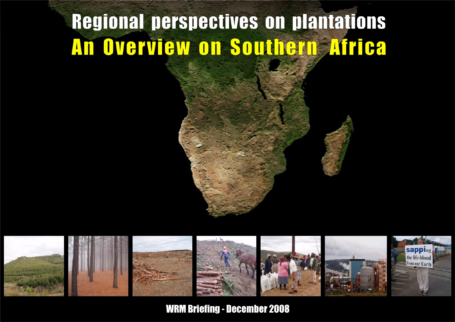# **Regional perspectives on plantations** An Overview on Southern Africa



**WRM Briefing - December 2008**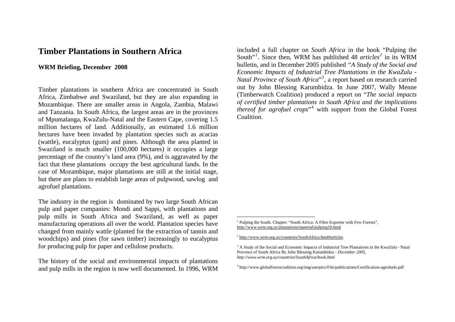# **Timber Plantations in Southern Africa**

## **WRM Briefing, December 2008**

Timber plantations in southern Africa are concentrated in South Africa, Zimbabwe and Swaziland, but they are also expanding in Mozambique. There are smaller areas in Angola, Zambia, Malawi and Tanzania. In South Africa, the largest areas are in the provinces of Mpumalanga, KwaZulu-Natal and the Eastern Cape, covering 1.5 million hectares of land. Additionally, an estimated 1.6 million hectares have been invaded by plantation species such as acacias (wattle), eucalyptus (gum) and pines. Although the area planted in Swaziland is much smaller (100,000 hectares) it occupies a large percentage of the country's land area (9%), and is aggravated by the fact that these plantations occupy the best agricultural lands. In the case of Mozambique, major plantations are still at the initial stage, but there are plans to establish large areas of pulpwood, sawlog and agrofuel plantations.

<span id="page-1-0"></span>The industry in the region is dominated by two large South African pulp and paper companies: Mondi and Sappi, with plantations and pulp mills in South Africa and Swaziland, as well as paper manufacturing operations all over the world. Plantation species have changed from mainly wattle (planted for the extraction of tannin and woodchips) and pines (for sawn timber) increasingly to eucalyptus for producing pulp for paper and cellulose products.

<span id="page-1-3"></span><span id="page-1-2"></span><span id="page-1-1"></span>The history of the social and environmental impacts of plantations and pulp mills in the region is now well documented. In 1996, WRM

included a full chapter on *South Africa* in the book "Pulping the South"[1](#page-1-0). Since then, WRM has published 48 *articles[2](#page-1-1)* in its WRM bulletin, and in December 2005 published *"[A Study of the Social and](http://www.wrm.org.uy/countries/SouthAfrica/book.html)  [Economic Impacts of Industrial Tree Plantations in the KwaZulu -](http://www.wrm.org.uy/countries/SouthAfrica/book.html)  [Natal Province of South Africa](http://www.wrm.org.uy/countries/SouthAfrica/book.html)*"[3](#page-1-2), a report based on research carried out by John Blessing Karumbidza. In June 2007, Wally Menne (Timberwatch Coalition) produced a report on "*The social impacts of certified timber plantations in South Africa and the implications thereof for agrofuel crops*<sup>[4](#page-1-3)</sup> with support from the Global Forest Coalition.

<sup>2</sup> <http://www.wrm.org.uy/countries/SouthAfrica.html#articles>

<sup>&</sup>lt;sup>1</sup> Pulping the South. Chapter: "South Africa: A Fibre Exporter with Few Forests", <http://www.wrm.org.uy/plantations/material/pulping10.html>

<sup>&</sup>lt;sup>3</sup> A Study of the Social and Economic Impacts of Industrial Tree Plantations in the KwaZulu - Natal Province of South Africa By John Blessing Karumbidza - *December 2005, http://www.wrm.org.uy/countries/SouthAfrica/book.html* 

<sup>4</sup> http://www.globalforestcoalition.org/img/userpics/File/publications/Certification-agrofuels.pdf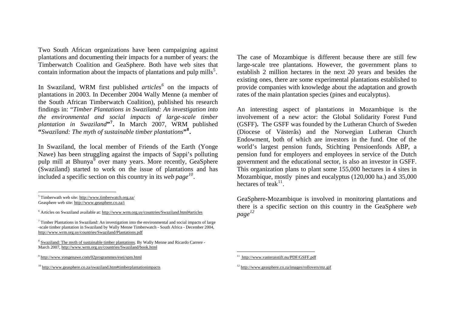Two South African organizations have been campaigning against plantations and documenting their impacts for a number of years: the Timberwatch Coalition and GeaSphere. Both have web sites that contain information about the impacts of plantations and pulp mills<sup>[5](#page-2-0)</sup>.

In Swaziland, WRM first published *articles[6](#page-2-1)* on the impacts of plantations in 2003. In December 2004 Wally Menne (a member of the South African Timberwatch Coalition), published his research findings in: "*[Timber Plantations in Swaziland: An investigation into](http://www.wrm.org.uy/countries/Swaziland/Plantations.pdf)  [the environmental and social impacts of large-scale timber](http://www.wrm.org.uy/countries/Swaziland/Plantations.pdf)  <sup>p</sup>[lantation in Swaziland](http://www.wrm.org.uy/countries/Swaziland/Plantations.pdf)***"[7](#page-2-2).** In March 2007, WRM published **"***Swaziland: The myth of sustainable timber plantations***"[8](#page-2-3).**

In Swaziland, the local member of Friends of the Earth (Yonge Nawe) has been struggling against the impacts of Sappi's polluting pulp mill at Bhunya<sup>[9](#page-2-4)</sup> over many years. More recently, GeaSphere (Swaziland) started to work on the issue of plantations and has included a specific section on this country in its *web page[10](#page-2-5)*.

<span id="page-2-3"></span><sup>8</sup> [Swaziland: The myth of sustainable timber plantations](http://www.wrm.org.uy/countries/Swaziland/book.html). By Wally Menne and Ricardo Carrere -March 2007, <http://www.wrm.org.uy/countries/Swaziland/book.html>

The case of Mozambique is different because there are still few large-scale tree plantations. However, the government plans to establish 2 million hectares in the next 20 years and besides the existing ones, there are some experimental plantations established to provide companies with knowledge about the adaptation and growth rates of the main plantation species (pines and eucalyptus).

An interesting aspect of plantations in Mozambique is the involvement of a new actor: the Global Solidarity Forest Fund (GSFF)**.** The GSFF was founded by the Lutheran Church of Sweden (Diocese of Västerås) and the Norwegian Lutheran Church Endowment, both of which are investors in the fund. One of the world's largest pension funds, Stichting Pensioenfonds ABP, a pension fund for employers and employees in service of the Dutch government and the educational sector, is also an investor in GSFF. This organization plans to plant some 155,000 hectares in 4 sites in Mozambique, mostly pines and eucalyptus (120,000 ha.) and 35,000 hectares of teak $^{11}$  $^{11}$  $^{11}$ .

GeaSphere-Mozambique is involved in monitoring plantations and there is a specific section on this country in the GeaSphere *web page [12](#page-2-5)*

<span id="page-2-0"></span><sup>5</sup> Timberwath web site: <http://www.timberwatch.org.za/> Geasphere web site:<http://www.geasphere.co.za/i>

<span id="page-2-1"></span> $6$  Articles on Swaziland available at: <http://www.wrm.org.uy/countries/Swaziland.html#articles>

<span id="page-2-2"></span> $<sup>7</sup>$  Timber Plantations in Swaziland: An investigation into the environmental and social impacts of large</sup> -scale timber plantation in Swaziland by Wally Menne Timberwatch - South Africa - December 2004, <http://www.wrm.org.uy/countries/Swaziland/Plantations.pdf>

<span id="page-2-4"></span><sup>9</sup> <http://www.yongenawe.com/02programmes/esej/spm.html>

<span id="page-2-5"></span><sup>&</sup>lt;sup>10</sup> <http://www.geasphere.co.za/swaziland.htm#timberplantationimpacts>

<sup>11</sup><http://www.vasterasstift.nu/PDF/GSFF.pdf>

<sup>&</sup>lt;sup>12</sup> <http://www.geasphere.co.za/images/rollovers/mz.gif>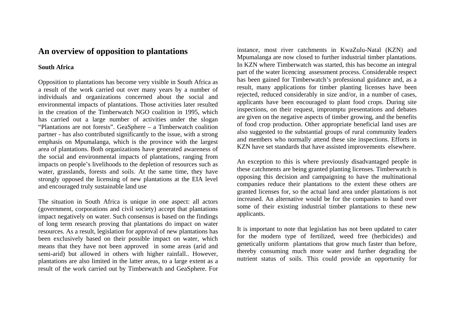# **An overview of opposition to plantations**

## **South Africa**

Opposition to plantations has become very visible in South Africa as a result of the work carried out over many years by a number of individuals and organizations concerned about the social and environmental impacts of plantations. Those activities later resulted in the creation of the Timberwatch NGO coalition in 1995, which has carried out a large number of activities under the slogan "Plantations are not forests". GeaSphere – a Timberwatch coalition partner - has also contributed significantly to the issue, with a strong emphasis on Mpumalanga, which is the province with the largest area of plantations. Both organizations have generated awareness of the social and environmental impacts of plantations, ranging from impacts on people's livelihoods to the depletion of resources such as water, grasslands, forests and soils. At the same time, they have strongly opposed the licensing of new plantations at the EIA level and encouraged truly sustainable land use

The situation in South Africa is unique in one aspect: all actors (government, corporations and civil society) accept that plantations impact negatively on water. Such consensus is based on the findings of long term research proving that plantations do impact on water resources. As a result, legislation for approval of new plantations has been exclusively based on their possible impact on water, which means that they have not been approved in some areas (arid and semi-arid) but allowed in others with higher rainfall.. However, plantations are also limited in the latter areas, to a large extent as a result of the work carried out by Timberwatch and GeaSphere. For instance, most river catchments in KwaZulu-Natal (KZN) and Mpumalanga are now closed to further industrial timber plantations. In KZN where Timberwatch was started, this has become an integral part of the water licencing assessment process. Considerable respect has been gained for Timberwatch's professional guidance and, as a result, many applications for timber planting licenses have been rejected, reduced considerably in size and/or, in a number of cases, applicants have been encouraged to plant food crops. During site inspections, on their request, impromptu presentations and debates are given on the negative aspects of timber growing, and the benefits of food crop production. Other appropriate beneficial land uses are also suggested to the substantial groups of rural community leaders and members who normally attend these site inspections. Efforts in KZN have set standards that have assisted improvements elsewhere.

An exception to this is where previously disadvantaged people in these catchments are being granted planting licenses. Timberwatch is opposing this decision and campaigning to have the multinational companies reduce their plantations to the extent these others are granted licenses for, so the actual land area under plantations is not increased. An alternative would be for the companies to hand over some of their existing industrial timber plantations to these new applicants.

It is important to note that legislation has not been updated to cater for the modern type of fertilized, weed free (herbicides) and genetically uniform plantations that grow much faster than before, thereby consuming much more water and further degrading the nutrient status of soils. This could provide an opportunity for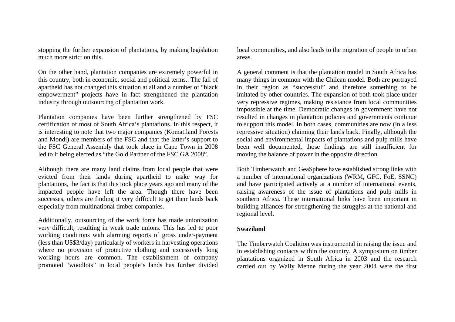stopping the further expansion of plantations, by making legislation much more strict on this.

On the other hand, plantation companies are extremely powerful in this country, both in economic, social and political terms.. The fall of apartheid has not changed this situation at all and a number of "black empowermen<sup>t</sup>" projects have in fact strengthened the plantation industry through outsourcing of plantation work.

Plantation companies have been further strengthened by FSC certification of most of South Africa's plantations. In this respect, it is interesting to note that two major companies (Komatiland Forests and Mondi) are members of the FSC and that the latter's support to the FSC General Assembly that took place in Cape Town in 2008 led to it being elected as "the Gold Partner of the FSC GA 2008".

Although there are many land claims from local people that were evicted from their lands during apartheid to make way for plantations, the fact is that this took place years ago and many of the impacted people have left the area. Though there have been successes, others are finding it very difficult to get their lands back especially from multinational timber companies.

Additionally, outsourcing of the work force has made unionization very difficult, resulting in weak trade unions. This has led to poor working conditions with alarming reports of gross under-payment (less than US\$3/day) particularly of workers in harvesting operations where no provision of protective clothing and excessively long working hours are common. The establishment of company promoted "woodlots" in local people's lands has further divided

local communities, and also leads to the migration of people to urban areas.

A general comment is that the plantation model in South Africa has many things in common with the Chilean model. Both are portrayed in their region as "successful" and therefore something to be imitated by other countries. The expansion of both took place under very repressive regimes, making resistance from local communities impossible at the time. Democratic changes in government have not resulted in changes in plantation policies and governments continue to support this model. In both cases, communities are now (in a less repressive situation) claiming their lands back. Finally, although the social and environmental impacts of plantations and pulp mills have been well documented, those findings are still insufficient for moving the balance of power in the opposite direction.

Both Timberwatch and GeaSphere have established strong links with a number of international organizations (WRM, GFC, FoE, SSNC) and have participated actively at a number of international events, raising awareness of the issue of plantations and pulp mills in southern Africa. These international links have been important in building alliances for strengthening the struggles at the national and regional level.

#### **Swaziland**

The Timberwatch Coalition was instrumental in raising the issue and in establishing contacts within the country. A symposium on timber plantations organized in South Africa in 2003 and the research carried out by Wally Menne during the year 2004 were the first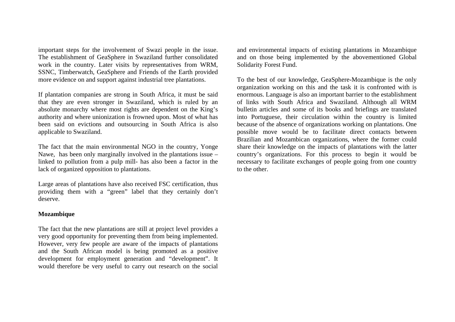important steps for the involvement of Swazi people in the issue. The establishment of GeaSphere in Swaziland further consolidated work in the country. Later visits by representatives from WRM, SSNC, Timberwatch, GeaSphere and Friends of the Earth provided more evidence on and support against industrial tree plantations.

If plantation companies are strong in South Africa, it must be said that they are even stronger in Swaziland, which is ruled by an absolute monarchy where most rights are dependent on the King's authority and where unionization is frowned upon. Most of what has been said on evictions and outsourcing in South Africa is also applicable to Swaziland.

The fact that the main environmental NGO in the country, Yonge Nawe, has been only marginally involved in the plantations issue – linked to pollution from a pulp mill- has also been a factor in the lack of organized opposition to plantations.

Large areas of plantations have also received FSC certification, thus providing them with a "green" label that they certainly don't deserve.

### **Mozambique**

The fact that the new plantations are still at project level provides a very good opportunity for preventing them from being implemented. However, very few people are aware of the impacts of plantations and the South African model is being promoted as a positive development for employment generation and "development". It would therefore be very useful to carry out research on the social and environmental impacts of existing plantations in Mozambique and on those being implemented by the abovementioned Global Solidarity Forest Fund.

To the best of our knowledge, GeaSphere-Mozambique is the only organization working on this and the task it is confronted with is enormous. Language is also an important barrier to the establishment of links with South Africa and Swaziland. Although all WRM bulletin articles and some of its books and briefings are translated into Portuguese, their circulation within the country is limited because of the absence of organizations working on plantations. One possible move would be to facilitate direct contacts between Brazilian and Mozambican organizations, where the former could share their knowledge on the impacts of plantations with the latter country's organizations. For this process to begin it would be necessary to facilitate exchanges of people going from one country to the other.